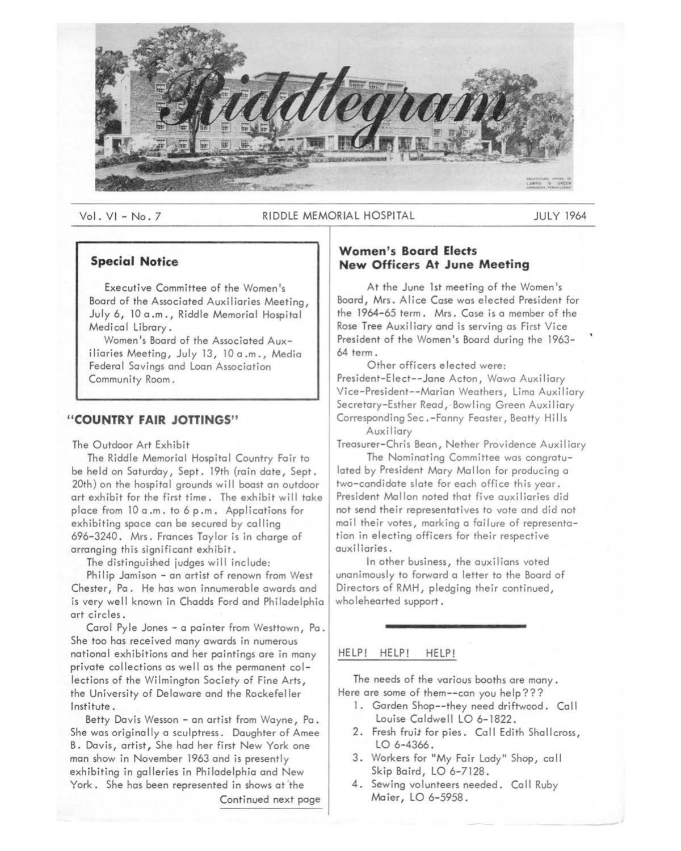

## Vol. VI - No. 7 RIDDLE MEMORIAL HOSPITAL FRAMEL AND THE VIDEO AT A SUCCESS AND THE VIDEO AT A SUCCESS AND THE V

# **Special Notice**

Executive Committee of the Women's Board of the Associated Auxiliaries Meeting, July 6, 10 a .m., Riddle Memorial Hospital Medical Library.

Women's Board of the Associated Auxiliaries Meeting, July 13, 10 a.m., Media Federal Savings and Loan Association Community Room.

### **"COUNTRY FAIR JOTTINGS"**

The Outdoor Art Exhibit

The Riddle Memorial Hospital Country Fair to be held on Saturday, Sept. 19th (rain date, Sept. 20th) on the hospital grounds will boast an outdoor art exhibit for the first time. The exhibit will take place from 10 a .m. to 6 p .m. Applications for exhibiting space can be secured by calling 696-3240. Mrs. Frances Taylor is in charge of arranging this significant exhibit.

The distinguished judges will include:

Philip Jamison - an artist of renown from West Chester, Pa. He has won innumerable awards and is very well known in Chadds Ford and Philadelphia art circles.

Carol Pyle Jones - a painter from Westtown, Pa. She too has received many awards in numerous national exhibitions and her paintings are in many private collections as well as the permanent collections of the Wilmington Society of Fine Arts, the University of Delaware and the Rockefeller Institute.

Betty Davis Wesson - an artist from Wayne, Pa. She was originally a sculptress. Daughter of Amee B. Davis, artist, She had her first New York one man show in November 1963 and is presently exhibiting in galleries in Philadelphia and New York. She has been represented in shows at 'the

Continued next page

# **Women's Board Elects New Officers At June Meeting**

At the June 1st meeting of the Women's Board, Mrs. Alice Case was elected President for the 1964-65 term. Mrs. Case is a member of the Rose Tree Auxiliary and is serving as First Vice President of the Women's Board during the 1963- 64 term.

Other officers elected were: President-Elect--Jane Acton, Wawa Auxiliary Vice-President--Marian Weathers, Lima Auxiliary Secretary-Esther Read,·Bowling Green Auxiliary Corresponding Sec.-Fanny Feaster, Beatty Hills **Auxiliary** 

Treasurer-Chris Bean, Nether Providence Auxiliary The Nominating Committee was congratu-

lated by President Mary Mallon for producing a two-candidate slate for each office this year. President Mallon noted that five auxiliaries did not send their representatives to vote and did not mail their votes, marking a failure of representation in electing officers for their respective auxiliaries.

In other business, the auxilians voted unanimously to forward a letter to the Board of Directors of RMH, pledging their continued, wholehearted support.

### HELP! HELP! HELP!

The needs of the various booths are many. Here are some of them--can you help???

- 1. Garden Shop--they need driftwood. Call Louise Caldwell LO 6-1822.
- 2. Fresh fruit for pies. Call Edith Shallcross, LO 6-4366.
- 3. Workers for "My Fair Lady" Shop, call Skip Baird, LO 6-7128.
- 4. Sewing volunteers needed. Call Ruby Maier, LO 6-5958.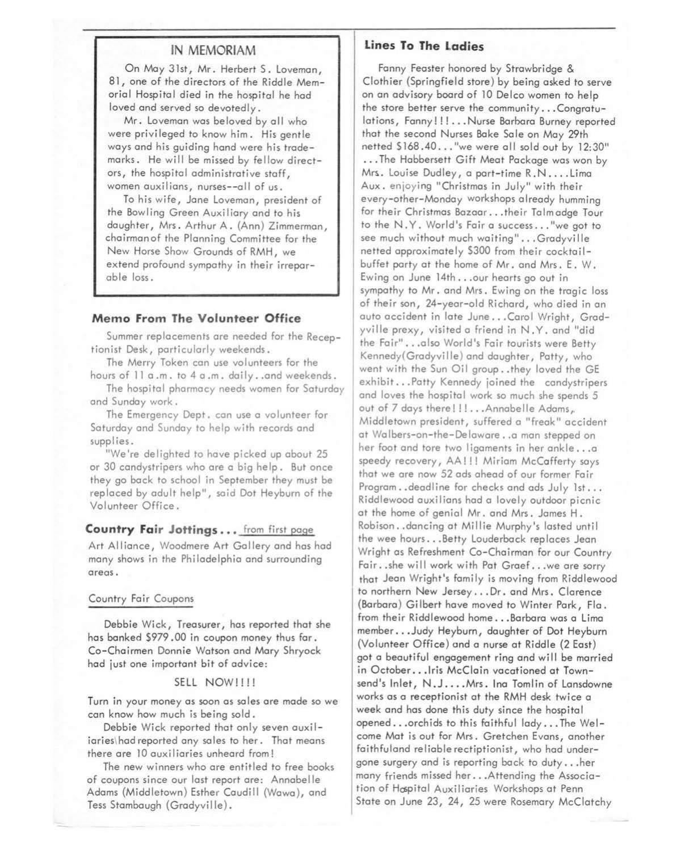# **IN MEMORIAM**

On May 31st, Mr. Herbert S. Loveman, 8 l, one of the directors of the Riddle Memorial Hospital died in the hospital he had loved and served so devotedly.

Mr. Loveman was beloved by all who were privileged to know him. His gentle ways and his guiding hand were his trademarks. He will be missed by fellow directors, the hospital administrative staff, women auxilians, nurses--all of us.

To his wife, Jane Loveman, president of the Bowling Green Auxiliary and to his daughter, Mrs. Arthur A. (Ann) Zimmerman, chairmanof the Planning Committee for the New Horse Show Grounds of RMH, *we*  extend profound sympathy in their irreparable loss.

## **Memo From The Volunteer Office**

Summer replacements are needed for the Receptionist Desk, particularly weekends.

The Merry Token can use volunteers for the hours of 11 a.m. to 4 a.m. daily..and weekends.

The hospital pharmacy needs women for Saturday and Sunday work.

The Emergency Dept. can use a volunteer for Saturday and Sunday to help with records and supplies.

"We're delighted to have picked up about 25 or 30 candystripers who are a big help. But once they go back to school in September they must be replaced by adult help", said Dot Heyburn of the Volunteer Office.

### **Country Fair Jottings ...** from first page

Art Alliance, Woodmere Art Gallery and has had many shows in the Philadelphia and surrounding areas.

#### Country Fair Coupons

Debbie Wick, Treasurer, has reported that she has banked \$979 .00 in coupon money thus far. Co-Chairmen Donnie Watson and Mary Shryock had just one important bit of advice:

# SELL NOW!!!!

Turn in your money as soon as sales are made so *we*  can know how much is being sold.

Debbie Wick reported that only seven auxiliaries\ had reported any sales to her. That means there are 10 auxiliaries unheard from!

The new winners who are entitled to free books of coupons since our last report are: Annabel le Adams (Middletown) Esther Caudill (Wawa), and Tess Stambaugh (Gradyville).

## **Lines To The ladies**

Fanny Feaster honored by Strawbridge & Clothier (Springfield store) by being asked to serve on an advisory board of 10 Delco women to help the store better serve the community ... Congratulations, Fanny!!!... Nurse Barbara Burney reported that the second Nurses Bake Sale on May 29th netted \$168.40..."we were all sold out by 12:30" ... The Habbersett Gift Meat Package was won by Mrs. Louise Dudley, a part-time R.N.... Lima Aux. enjoying "Christmas in July" with their every-other-Monday workshops already humming for their Christmas Bazaar ... their Talmadge Tour to the N. Y. World's Fair a success ... *"we* got to *see* much without much waiting" ... Gradyville netted approximately \$300 from their cocktailbuffet party at the home of Mr. and Mrs. E. W. Ewing on June 14th ... our hearts go out in sympathy to Mr. and Mrs. Ewing on the tragic loss of their son, 24-year-old Richard, who died in an auto accident in late June ... Carol Wright, Gradyville prexy, visited a friend in N.Y. and "did the Fair" ... also World's Fair tourists *were* Betty Kennedy(Gradyville) and daughter, Patty, who went with the Sun Oil group..they loved the GE exhibit ... Patty Kennedy joined the candystripers and loves the hospital work so much she spends 5 out of 7 days there!!!... Annabelle Adams, Middletown president, suffered a "freak" accident at Walbers-on-the-Delaware .. a man stepped on her foot and tore two ligaments in her ankle ... a speedy recovery, AA!!! Miriam McCafferty says that we are now 52 ads ahead of our former Fair Program..deadline for checks and ads July 1st... Riddlewood auxilians had a lovely outdoor picnic at the home of genial Mr. and Mrs. James H. Robison..dancing at Millie Murphy's lasted until the wee hours ... Betty Louderback rep laces Jean Wright as Refreshment Co-Chairman for our Country Fair .. she will work with Pat Graef. .. we are sorry that Jean Wright's family is moving from Riddlewood to northern New Jersey ... Dr. and Mrs. Clarence (Barbara) Gilbert have moved to Winter Park, Fla. from their Riddlewood home ... Barbara was a Lima member ... Judy Heyburn, daughter of Dot Heyburn (Volunteer Office) and a nurse at Riddle (2 East) got a beautiful engagement ring and wi 11 be married in October...Iris McClain vacationed at Townsend's Inlet, N.J....Mrs. Ina Tomlin of Lansdowne works as a receptionist at the RMH desk twice a week and has done this duty since the hospital opened ... orchids to this faithful lady ... The Welcome Mat is out for Mrs. Gretchen Evans, another faithfuland reliable rectiptionist, who had undergone surgery and is reporting back to duty ... her many friends missed her ... Attending the Association of Hospital Auxiliaries Workshops at Penn State on June 23, 24, 25 were Rosemary McClatchy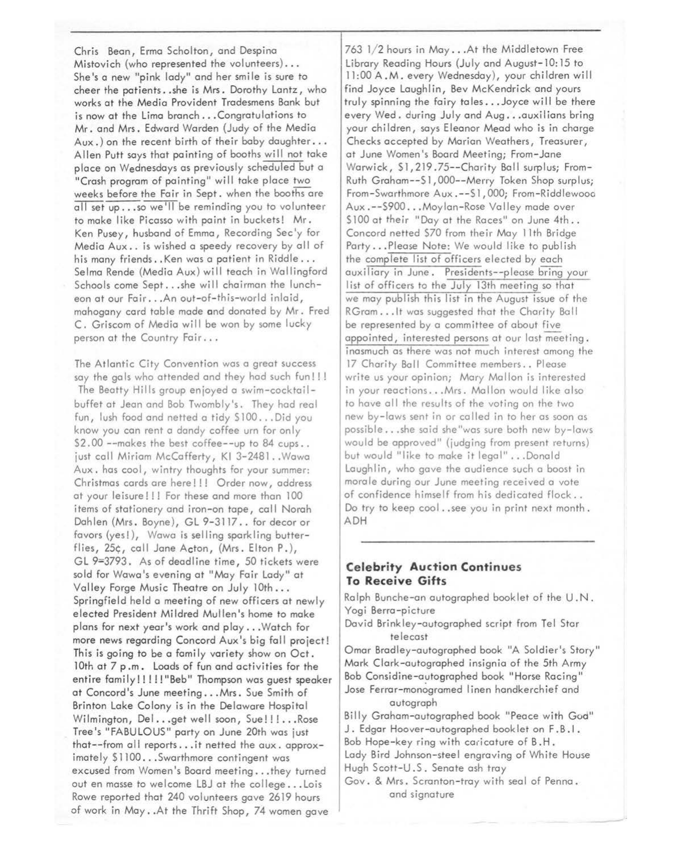Chris Bean, Erma Scholten, and Despino Mistovich (who represented the volunteers) ... She's a new "pink lady" and her smile is sure to cheer the patients .. she is Mrs. Dorothy Lontz, who works at the Media Provident Trodesmens Bank but is now at the Limo branch ... Congratulations to Mr. and Mrs. Edward Worden (Judy of the Media Aux.) on the recent birth of their baby daughter... Allen Putt soys that pointing of booths will not toke place on Wednesdays as previously scheduled but a "Crash program of pointing" will toke place two weeks before the Fair in Sept. when the booths are all set up...so we'll be reminding you to volunteer to make like Picasso with point in buckets! Mr. Ken Pusey, husband of Emma, Recording Sec'y for Media Aux .. is wished a speedy recovery by all of his many friends .. Ken was a patient in Riddle ... Selma Rende (Media Aux) will teach in Wallingford Schools come Sept...she will chairman the luncheon at our Fair ... An out-of-this-world inlaid, mahogany cord table made and donated by Mr. Fred C. Griscom of Media will be won by some lucky person at the Country Fair ...

The Atlantic City Convention was a great success say the gals who attended and they had such fun!!! The Beatty Hills group enjoyed a swim-cocktailbuffet at Jean and Bob Twombly's. They hod real fun, lush food and netted a tidy \$100... Did you know you can rent a dandy coffee urn for only \$2.00 --makes the best coffee--up to 84 cups.. just call Miriam McCofferty, Kl 3-2481 .. Wowa Aux. has cool, wintry thoughts for your summer: Christmas cards are here!!! Order now, address at your leisure!!! For these and more than 100 items of stationery and iron-on tape, call Norah Dahlen (Mrs. Boyne), GL 9-3117.. for decor or favors (yes!), Wawa is selling sparkling butterflies, 25¢, coll Jane Acton, (Mrs. Elton P.), GL *9=3793.* As of deadline time, 50 tickets were sold for Wowo's evening at "Moy Fair Lady" at Valley Forge Music Theatre on July 10th ... Springfield held a meeting of new officers at newly elected President Mildred Mullen's home to make plans for next year's work and play ... Watch for more news regarding Concord Aux's big fall project! This is going to be a family variety show on Oct. 10th at 7 p.m. Loads of fun and activities for the entire family!!!!! "Beb" Thompson was guest speaker at Concord's June meeting ... Mrs. Sue Smith of Brinton Lake Colony is in the Delaware Hospital Wilmington, Del... get well soon, Sue!!!... Rose Tree's "FABULOUS" party on June 20th was just that--from all reports...it netted the aux. approximately \$1100...Swarthmore contingent was excused from Women's Board meeting ... they turned out en mosse to welcome LBJ at the college ... Lois Rowe reported that 240 volunteers gave 2619 hours of work in May .. At the Thrift Shop, 74 women gave

763 1/2 hours in May ... At the Middletown Free Library Reading Hours (July and August-10:15 to 11:00A.M. every Wednesday), your children will find Joyce Laughlin, Bev McKendrick and yours truly spinning the fairy toles ... Joyce will be there every Wed. during July and Aug ... ouxilions bring your children, soys Eleonor Mead who is in charge Checks accepted by Marian Weathers, Treasurer, at June Women's Boord Meeting; From-Jone Warwick, \$1,219.75--Chority Ball surplus; From-Ruth Graham--\$], 000--Merry Token Shop surplus; From-Swarthmore Aux .--\$1, 000; From-Riddlewooo Aux .--\$900 ... Moylan-Rose Volley mode over S100 at their "Day at the Races" on June 4th.. Concord netted S70 from their Moy 11th Bridge Porty ... Please Note: We would like to publish the complete list of officers elected by each auxiliary in June. Presidents--please bring your list of officers to the July 13th meeting so that we may publish this list in the August issue of the RGram... It was suggested that the Charity Ball be represented by a committee of about five appointed, interested persons at our last meeting. inasmuch as there was not much interest among the 17 Charity Ball Committee members .. Please write us your opinion; Mary Mallon is interested in your reactions ... Mrs. Mallon would like also to have all the results of the voting on the two new by-lows sent in or called in to her as soon as possible ... she said she"wos sure both new by-lows would be approved" (judging from present returns) but would "like to make it legal" ... Donald Loughlin, who gave the audience such a boost in morale during our June meeting received a vote of confidence himself from his dedicated flock .. Do try to keep cool .. see you in print next month. ADH

# **Celebrity Auction Continues To Receive Gifts**

Rolph Bunche-on autographed booklet of the U .N. Yogi Berra-picture

David Brinkley-autographed script from Tel Star telecast

Omar Bradley-autographed book "A Soldier's Story" Mork Clark-autographed insignia of the 5th Army Bob Considine-autographed book "Horse Racing" Jose Ferrar-monogramed linen handkerchief and autograph

Billy Graham-autographed book "Peace with God" J. Edgar Hoover-autographed book let on F.B.I. Bob Hope-key ring with caricature of B.H. Lady Bird Johnson-steel engraving of White House Hugh Scott-U. S. Senate ash troy

Gov. & Mrs. Scranton-troy with seal of Penna. and signature

- -